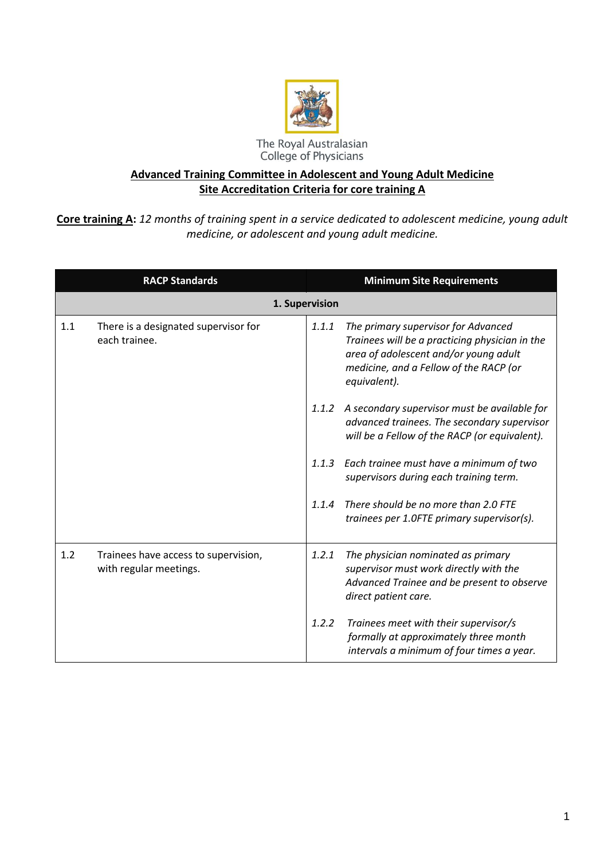

## **Advanced Training Committee in Adolescent and Young Adult Medicine Site Accreditation Criteria for core training A**

**Core training A:** *12 months of training spent in a service dedicated to adolescent medicine, young adult medicine, or adolescent and young adult medicine.*

|     | <b>RACP Standards</b>                                          |       | <b>Minimum Site Requirements</b>                                                                                                                                                         |
|-----|----------------------------------------------------------------|-------|------------------------------------------------------------------------------------------------------------------------------------------------------------------------------------------|
|     | 1. Supervision                                                 |       |                                                                                                                                                                                          |
| 1.1 | There is a designated supervisor for<br>each trainee.          | 1.1.1 | The primary supervisor for Advanced<br>Trainees will be a practicing physician in the<br>area of adolescent and/or young adult<br>medicine, and a Fellow of the RACP (or<br>equivalent). |
|     |                                                                | 1.1.2 | A secondary supervisor must be available for<br>advanced trainees. The secondary supervisor<br>will be a Fellow of the RACP (or equivalent).                                             |
|     |                                                                | 1.1.3 | Each trainee must have a minimum of two<br>supervisors during each training term.                                                                                                        |
|     |                                                                | 1.1.4 | There should be no more than 2.0 FTE<br>trainees per 1.0FTE primary supervisor(s).                                                                                                       |
| 1.2 | Trainees have access to supervision,<br>with regular meetings. | 1.2.1 | The physician nominated as primary<br>supervisor must work directly with the<br>Advanced Trainee and be present to observe<br>direct patient care.                                       |
|     |                                                                | 1.2.2 | Trainees meet with their supervisor/s<br>formally at approximately three month<br>intervals a minimum of four times a year.                                                              |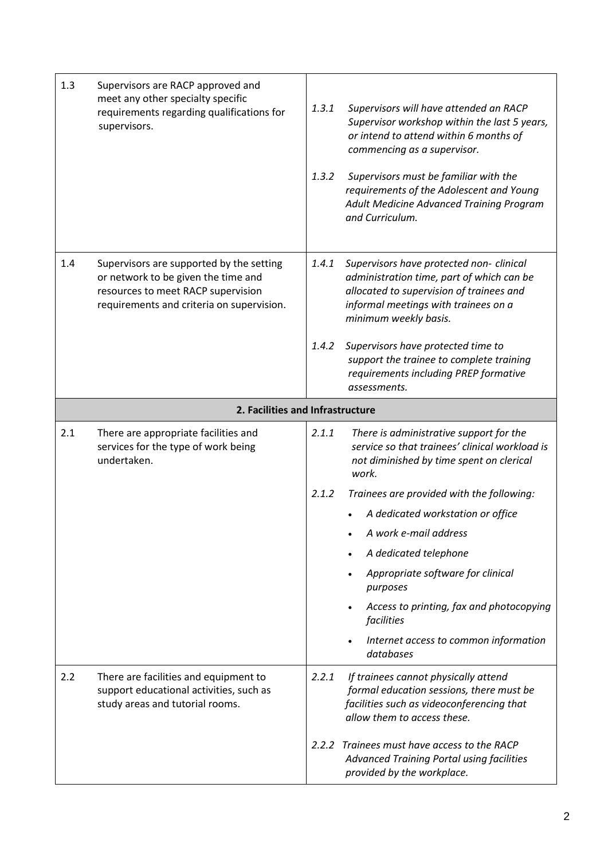| 1.3 | Supervisors are RACP approved and<br>meet any other specialty specific<br>requirements regarding qualifications for<br>supervisors.                                | 1.3.1<br>1.3.2 | Supervisors will have attended an RACP<br>Supervisor workshop within the last 5 years,<br>or intend to attend within 6 months of<br>commencing as a supervisor.<br>Supervisors must be familiar with the<br>requirements of the Adolescent and Young<br>Adult Medicine Advanced Training Program<br>and Curriculum.                           |
|-----|--------------------------------------------------------------------------------------------------------------------------------------------------------------------|----------------|-----------------------------------------------------------------------------------------------------------------------------------------------------------------------------------------------------------------------------------------------------------------------------------------------------------------------------------------------|
| 1.4 | Supervisors are supported by the setting<br>or network to be given the time and<br>resources to meet RACP supervision<br>requirements and criteria on supervision. | 1.4.1<br>1.4.2 | Supervisors have protected non- clinical<br>administration time, part of which can be<br>allocated to supervision of trainees and<br>informal meetings with trainees on a<br>minimum weekly basis.<br>Supervisors have protected time to<br>support the trainee to complete training<br>requirements including PREP formative<br>assessments. |
|     | 2. Facilities and Infrastructure                                                                                                                                   |                |                                                                                                                                                                                                                                                                                                                                               |
| 2.1 | There are appropriate facilities and<br>services for the type of work being<br>undertaken.                                                                         | 2.1.1          | There is administrative support for the<br>service so that trainees' clinical workload is<br>not diminished by time spent on clerical<br>work.                                                                                                                                                                                                |
|     |                                                                                                                                                                    | 2.1.2          | Trainees are provided with the following:                                                                                                                                                                                                                                                                                                     |
|     |                                                                                                                                                                    |                | A dedicated workstation or office                                                                                                                                                                                                                                                                                                             |
|     |                                                                                                                                                                    |                | A work e-mail address                                                                                                                                                                                                                                                                                                                         |
|     |                                                                                                                                                                    |                | A dedicated telephone                                                                                                                                                                                                                                                                                                                         |
|     |                                                                                                                                                                    |                | Appropriate software for clinical<br>purposes                                                                                                                                                                                                                                                                                                 |
|     |                                                                                                                                                                    |                | Access to printing, fax and photocopying<br>facilities                                                                                                                                                                                                                                                                                        |
|     |                                                                                                                                                                    |                | Internet access to common information<br>databases                                                                                                                                                                                                                                                                                            |
| 2.2 | There are facilities and equipment to<br>support educational activities, such as<br>study areas and tutorial rooms.                                                | 2.2.1          | If trainees cannot physically attend<br>formal education sessions, there must be<br>facilities such as videoconferencing that<br>allow them to access these.                                                                                                                                                                                  |
|     |                                                                                                                                                                    | 2.2.2          | Trainees must have access to the RACP<br><b>Advanced Training Portal using facilities</b><br>provided by the workplace.                                                                                                                                                                                                                       |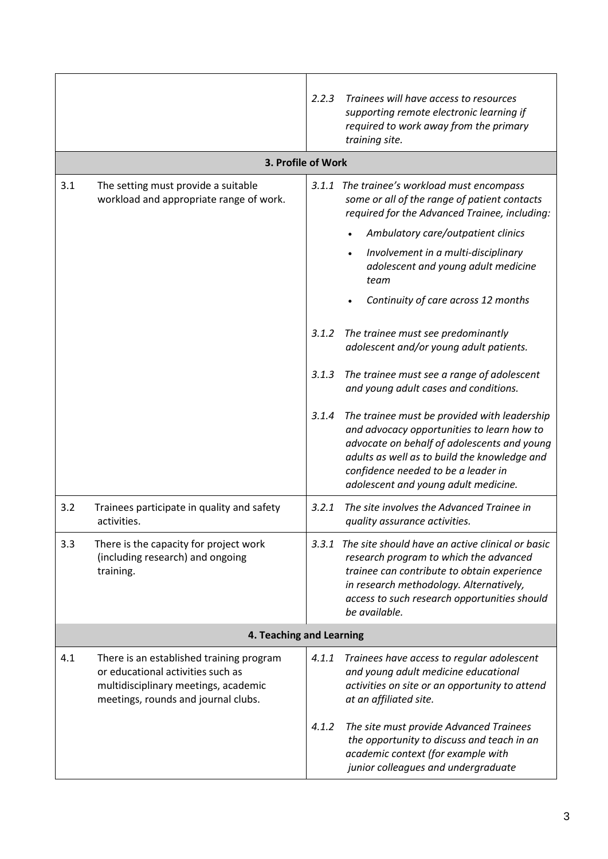|                          |                                                                                                                                                              | 2.2.3 | Trainees will have access to resources<br>supporting remote electronic learning if<br>required to work away from the primary<br>training site.                                                                                                                           |  |  |
|--------------------------|--------------------------------------------------------------------------------------------------------------------------------------------------------------|-------|--------------------------------------------------------------------------------------------------------------------------------------------------------------------------------------------------------------------------------------------------------------------------|--|--|
|                          | 3. Profile of Work                                                                                                                                           |       |                                                                                                                                                                                                                                                                          |  |  |
| 3.1                      | The setting must provide a suitable<br>workload and appropriate range of work.                                                                               | 3.1.1 | The trainee's workload must encompass<br>some or all of the range of patient contacts<br>required for the Advanced Trainee, including:<br>Ambulatory care/outpatient clinics                                                                                             |  |  |
|                          |                                                                                                                                                              |       | Involvement in a multi-disciplinary<br>adolescent and young adult medicine<br>team                                                                                                                                                                                       |  |  |
|                          |                                                                                                                                                              |       | Continuity of care across 12 months                                                                                                                                                                                                                                      |  |  |
|                          |                                                                                                                                                              | 3.1.2 | The trainee must see predominantly<br>adolescent and/or young adult patients.                                                                                                                                                                                            |  |  |
|                          |                                                                                                                                                              | 3.1.3 | The trainee must see a range of adolescent<br>and young adult cases and conditions.                                                                                                                                                                                      |  |  |
|                          |                                                                                                                                                              | 3.1.4 | The trainee must be provided with leadership<br>and advocacy opportunities to learn how to<br>advocate on behalf of adolescents and young<br>adults as well as to build the knowledge and<br>confidence needed to be a leader in<br>adolescent and young adult medicine. |  |  |
| 3.2                      | Trainees participate in quality and safety<br>activities.                                                                                                    | 3.2.1 | The site involves the Advanced Trainee in<br>quality assurance activities.                                                                                                                                                                                               |  |  |
| 3.3                      | There is the capacity for project work<br>(including research) and ongoing<br>training.                                                                      | 3.3.1 | The site should have an active clinical or basic<br>research program to which the advanced<br>trainee can contribute to obtain experience<br>in research methodology. Alternatively,<br>access to such research opportunities should<br>be available.                    |  |  |
| 4. Teaching and Learning |                                                                                                                                                              |       |                                                                                                                                                                                                                                                                          |  |  |
| 4.1                      | There is an established training program<br>or educational activities such as<br>multidisciplinary meetings, academic<br>meetings, rounds and journal clubs. | 4.1.1 | Trainees have access to regular adolescent<br>and young adult medicine educational<br>activities on site or an opportunity to attend<br>at an affiliated site.                                                                                                           |  |  |
|                          |                                                                                                                                                              | 4.1.2 | The site must provide Advanced Trainees<br>the opportunity to discuss and teach in an<br>academic context (for example with<br>junior colleagues and undergraduate                                                                                                       |  |  |